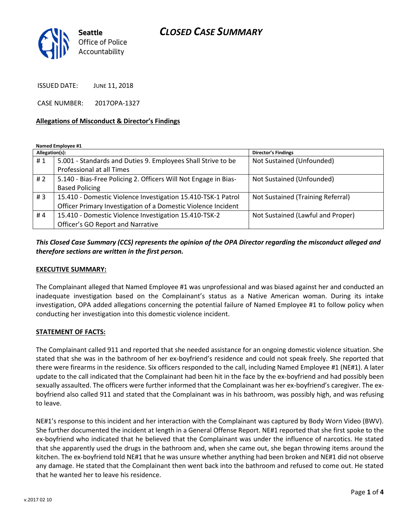# *CLOSED CASE SUMMARY*



ISSUED DATE: JUNE 11, 2018

CASE NUMBER: 2017OPA-1327

#### **Allegations of Misconduct & Director's Findings**

**Named Employee #1**

| Allegation(s): |                                                                 | <b>Director's Findings</b>        |
|----------------|-----------------------------------------------------------------|-----------------------------------|
| #1             | 5.001 - Standards and Duties 9. Employees Shall Strive to be    | Not Sustained (Unfounded)         |
|                | Professional at all Times                                       |                                   |
| #2             | 5.140 - Bias-Free Policing 2. Officers Will Not Engage in Bias- | Not Sustained (Unfounded)         |
|                | <b>Based Policing</b>                                           |                                   |
| #3             | 15.410 - Domestic Violence Investigation 15.410-TSK-1 Patrol    | Not Sustained (Training Referral) |
|                | Officer Primary Investigation of a Domestic Violence Incident   |                                   |
| #4             | 15.410 - Domestic Violence Investigation 15.410-TSK-2           | Not Sustained (Lawful and Proper) |
|                | Officer's GO Report and Narrative                               |                                   |

*This Closed Case Summary (CCS) represents the opinion of the OPA Director regarding the misconduct alleged and therefore sections are written in the first person.* 

### **EXECUTIVE SUMMARY:**

The Complainant alleged that Named Employee #1 was unprofessional and was biased against her and conducted an inadequate investigation based on the Complainant's status as a Native American woman. During its intake investigation, OPA added allegations concerning the potential failure of Named Employee #1 to follow policy when conducting her investigation into this domestic violence incident.

#### **STATEMENT OF FACTS:**

The Complainant called 911 and reported that she needed assistance for an ongoing domestic violence situation. She stated that she was in the bathroom of her ex-boyfriend's residence and could not speak freely. She reported that there were firearms in the residence. Six officers responded to the call, including Named Employee #1 (NE#1). A later update to the call indicated that the Complainant had been hit in the face by the ex-boyfriend and had possibly been sexually assaulted. The officers were further informed that the Complainant was her ex-boyfriend's caregiver. The exboyfriend also called 911 and stated that the Complainant was in his bathroom, was possibly high, and was refusing to leave.

NE#1's response to this incident and her interaction with the Complainant was captured by Body Worn Video (BWV). She further documented the incident at length in a General Offense Report. NE#1 reported that she first spoke to the ex-boyfriend who indicated that he believed that the Complainant was under the influence of narcotics. He stated that she apparently used the drugs in the bathroom and, when she came out, she began throwing items around the kitchen. The ex-boyfriend told NE#1 that he was unsure whether anything had been broken and NE#1 did not observe any damage. He stated that the Complainant then went back into the bathroom and refused to come out. He stated that he wanted her to leave his residence.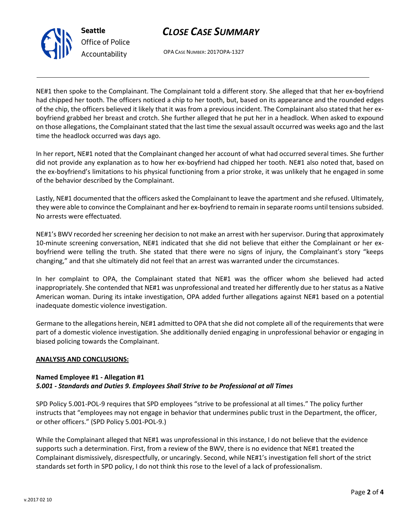# *CLOSE CASE SUMMARY*



OPA CASE NUMBER: 2017OPA-1327

NE#1 then spoke to the Complainant. The Complainant told a different story. She alleged that that her ex-boyfriend had chipped her tooth. The officers noticed a chip to her tooth, but, based on its appearance and the rounded edges of the chip, the officers believed it likely that it was from a previous incident. The Complainant also stated that her exboyfriend grabbed her breast and crotch. She further alleged that he put her in a headlock. When asked to expound on those allegations, the Complainant stated that the last time the sexual assault occurred was weeks ago and the last time the headlock occurred was days ago.

In her report, NE#1 noted that the Complainant changed her account of what had occurred several times. She further did not provide any explanation as to how her ex-boyfriend had chipped her tooth. NE#1 also noted that, based on the ex-boyfriend's limitations to his physical functioning from a prior stroke, it was unlikely that he engaged in some of the behavior described by the Complainant.

Lastly, NE#1 documented that the officers asked the Complainant to leave the apartment and she refused. Ultimately, they were able to convince the Complainant and her ex-boyfriend to remain in separate rooms until tensions subsided. No arrests were effectuated.

NE#1's BWV recorded her screening her decision to not make an arrest with her supervisor. During that approximately 10-minute screening conversation, NE#1 indicated that she did not believe that either the Complainant or her exboyfriend were telling the truth. She stated that there were no signs of injury, the Complainant's story "keeps changing," and that she ultimately did not feel that an arrest was warranted under the circumstances.

In her complaint to OPA, the Complainant stated that NE#1 was the officer whom she believed had acted inappropriately. She contended that NE#1 was unprofessional and treated her differently due to her status as a Native American woman. During its intake investigation, OPA added further allegations against NE#1 based on a potential inadequate domestic violence investigation.

Germane to the allegations herein, NE#1 admitted to OPA that she did not complete all of the requirements that were part of a domestic violence investigation. She additionally denied engaging in unprofessional behavior or engaging in biased policing towards the Complainant.

### **ANALYSIS AND CONCLUSIONS:**

### **Named Employee #1 - Allegation #1**

### *5.001 - Standards and Duties 9. Employees Shall Strive to be Professional at all Times*

SPD Policy 5.001-POL-9 requires that SPD employees "strive to be professional at all times." The policy further instructs that "employees may not engage in behavior that undermines public trust in the Department, the officer, or other officers." (SPD Policy 5.001-POL-9.)

While the Complainant alleged that NE#1 was unprofessional in this instance, I do not believe that the evidence supports such a determination. First, from a review of the BWV, there is no evidence that NE#1 treated the Complainant dismissively, disrespectfully, or uncaringly. Second, while NE#1's investigation fell short of the strict standards set forth in SPD policy, I do not think this rose to the level of a lack of professionalism.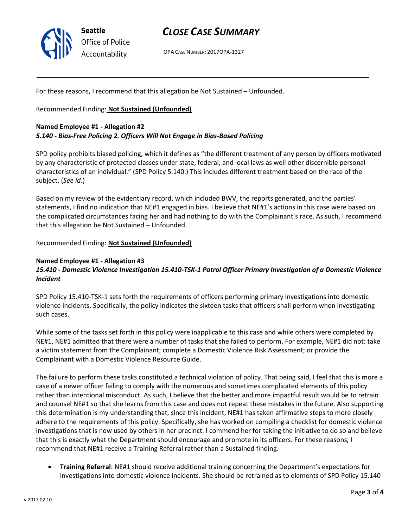

# *CLOSE CASE SUMMARY*

OPA CASE NUMBER: 2017OPA-1327

For these reasons, I recommend that this allegation be Not Sustained – Unfounded.

Recommended Finding: **Not Sustained (Unfounded)**

## **Named Employee #1 - Allegation #2** *5.140 - Bias-Free Policing 2. Officers Will Not Engage in Bias-Based Policing*

SPD policy prohibits biased policing, which it defines as "the different treatment of any person by officers motivated by any characteristic of protected classes under state, federal, and local laws as well other discernible personal characteristics of an individual." (SPD Policy 5.140.) This includes different treatment based on the race of the subject. (*See id*.)

Based on my review of the evidentiary record, which included BWV, the reports generated, and the parties' statements, I find no indication that NE#1 engaged in bias. I believe that NE#1's actions in this case were based on the complicated circumstances facing her and had nothing to do with the Complainant's race. As such, I recommend that this allegation be Not Sustained – Unfounded.

Recommended Finding: **Not Sustained (Unfounded)**

### **Named Employee #1 - Allegation #3**

## *15.410 - Domestic Violence Investigation 15.410-TSK-1 Patrol Officer Primary Investigation of a Domestic Violence Incident*

SPD Policy 15.410-TSK-1 sets forth the requirements of officers performing primary investigations into domestic violence incidents. Specifically, the policy indicates the sixteen tasks that officers shall perform when investigating such cases.

While some of the tasks set forth in this policy were inapplicable to this case and while others were completed by NE#1, NE#1 admitted that there were a number of tasks that she failed to perform. For example, NE#1 did not: take a victim statement from the Complainant; complete a Domestic Violence Risk Assessment; or provide the Complainant with a Domestic Violence Resource Guide.

The failure to perform these tasks constituted a technical violation of policy. That being said, I feel that this is more a case of a newer officer failing to comply with the numerous and sometimes complicated elements of this policy rather than intentional misconduct. As such, I believe that the better and more impactful result would be to retrain and counsel NE#1 so that she learns from this case and does not repeat these mistakes in the future. Also supporting this determination is my understanding that, since this incident, NE#1 has taken affirmative steps to more closely adhere to the requirements of this policy. Specifically, she has worked on compiling a checklist for domestic violence investigations that is now used by others in her precinct. I commend her for taking the initiative to do so and believe that this is exactly what the Department should encourage and promote in its officers. For these reasons, I recommend that NE#1 receive a Training Referral rather than a Sustained finding.

• **Training Referral**: NE#1 should receive additional training concerning the Department's expectations for investigations into domestic violence incidents. She should be retrained as to elements of SPD Policy 15.140